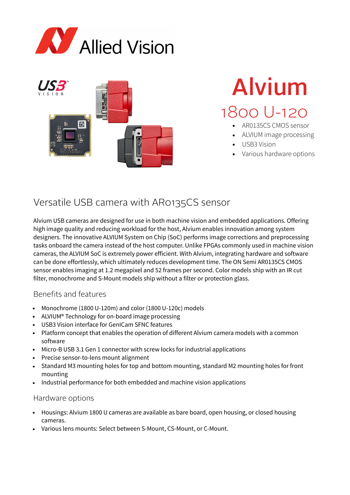



# Alvium 1800 U-120

- AR0135CS CMOS sensor
- ALVIUM image processing
- USB3 Vision
- Various hardware options

## Versatile USB camera with AR0135CS sensor

Alvium USB cameras are designed for use in both machine vision and embedded applications. Offering high image quality and reducing workload for the host, Alvium enables innovation among system designers. The innovative ALVIUM System on Chip (SoC) performs image corrections and preprocessing tasks onboard the camera instead of the host computer. Unlike FPGAs commonly used in machine vision cameras, the ALVIUM SoC is extremely power efficient. With Alvium, integrating hardware and software can be done effortlessly, which ultimately reduces development time. The ON Semi AR0135CS CMOS sensor enables imaging at 1.2 megapixel and 52 frames per second. Color models ship with an IR cut filter, monochrome and S-Mount models ship without a filter or protection glass.

## Benefits and features

- Monochrome (1800 U-120m) and color (1800 U-120c) models
- ALVIUM® Technology for on-board image processing
- USB3 Vision interface for GenICam SFNC features
- Platform concept that enables the operation of different Alvium camera models with a common software
- Micro-B USB 3.1 Gen 1 connector with screw locks for industrial applications
- Precise sensor-to-lens mount alignment
- Standard M3 mounting holes for top and bottom mounting, standard M2 mounting holes for front mounting
- Industrial performance for both embedded and machine vision applications

## Hardware options

- Housings: Alvium 1800 U cameras are available as bare board, open housing, or closed housing cameras.
- Various lens mounts: Select between S-Mount, CS-Mount, or C-Mount.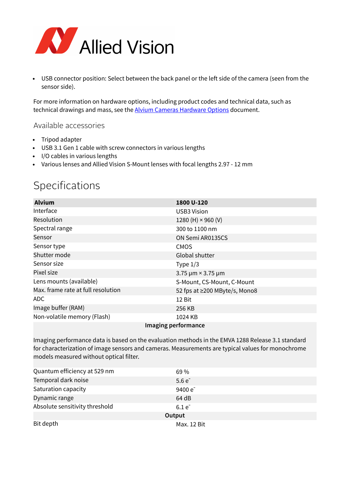

• USB connector position: Select between the back panel or the left side of the camera (seen from the sensor side).

For more information on hardware options, including product codes and technical data, such as technical drawings and mass, see the [Alvium Cameras Hardware Options](https://cdn.alliedvision.com/fileadmin/content/documents/products/cameras/Alvium_common/hardware-options/Alvium-Cameras_Hardware-Options.pdf) document.

## Available accessories

- Tripod adapter
- USB 3.1 Gen 1 cable with screw connectors in various lengths
- I/O cables in various lengths
- Various lenses and Allied Vision S-Mount lenses with focal lengths 2.97 12 mm

# Specifications

| <b>Alvium</b>                      | 1800 U-120                    |  |
|------------------------------------|-------------------------------|--|
| Interface                          | <b>USB3 Vision</b>            |  |
| Resolution                         | 1280 (H) $\times$ 960 (V)     |  |
| Spectral range                     | 300 to 1100 nm                |  |
| Sensor                             | ON Semi AR0135CS              |  |
| Sensor type                        | <b>CMOS</b>                   |  |
| Shutter mode                       | Global shutter                |  |
| Sensor size                        | Type $1/3$                    |  |
| Pixel size                         | 3.75 $\mu$ m × 3.75 $\mu$ m   |  |
| Lens mounts (available)            | S-Mount, CS-Mount, C-Mount    |  |
| Max. frame rate at full resolution | 52 fps at ≥200 MByte/s, Mono8 |  |
| ADC.                               | 12 Bit                        |  |
| Image buffer (RAM)                 | 256 KB                        |  |
| Non-volatile memory (Flash)        | 1024 KB                       |  |
| Imaging performance                |                               |  |

Imaging performance data is based on the evaluation methods in the EMVA 1288 Release 3.1 standard for characterization of image sensors and cameras. Measurements are typical values for monochrome models measured without optical filter.

| Quantum efficiency at 529 nm   | 69 %         |  |
|--------------------------------|--------------|--|
| Temporal dark noise            | $5.6e^{-}$   |  |
| Saturation capacity            | 9400 $e^{-}$ |  |
| Dynamic range                  | 64 dB        |  |
| Absolute sensitivity threshold | $6.1e^{-}$   |  |
| Output                         |              |  |
| Bit depth                      | Max. 12 Bit  |  |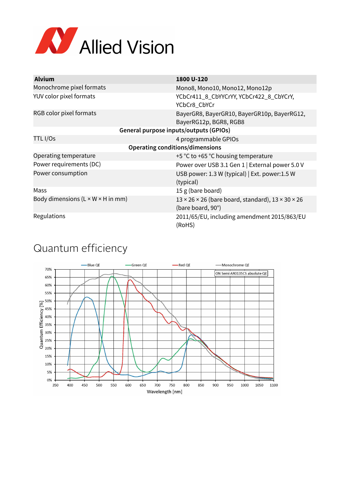

| <b>Alvium</b>                                  | 1800 U-120                                                                                     |  |
|------------------------------------------------|------------------------------------------------------------------------------------------------|--|
| Monochrome pixel formats                       | Mono8, Mono10, Mono12, Mono12p                                                                 |  |
| YUV color pixel formats                        | YCbCr411_8_CbYYCrYY, YCbCr422_8_CbYCrY,<br>YCbCr8_CbYCr                                        |  |
| RGB color pixel formats                        | BayerGR8, BayerGR10, BayerGR10p, BayerRG12,<br>BayerRG12p, BGR8, RGB8                          |  |
| General purpose inputs/outputs (GPIOs)         |                                                                                                |  |
| TTL I/Os                                       | 4 programmable GPIOs                                                                           |  |
| <b>Operating conditions/dimensions</b>         |                                                                                                |  |
| Operating temperature                          | +5 °C to +65 °C housing temperature                                                            |  |
| Power requirements (DC)                        | Power over USB 3.1 Gen 1   External power 5.0 V                                                |  |
| Power consumption                              | USB power: 1.3 W (typical)   Ext. power: 1.5 W<br>(typical)                                    |  |
| Mass                                           | 15 g (bare board)                                                                              |  |
| Body dimensions ( $L \times W \times H$ in mm) | $13 \times 26 \times 26$ (bare board, standard), $13 \times 30 \times 26$<br>(bare board, 90°) |  |
| Regulations                                    | 2011/65/EU, including amendment 2015/863/EU<br>(RoHS)                                          |  |

## Quantum efficiency

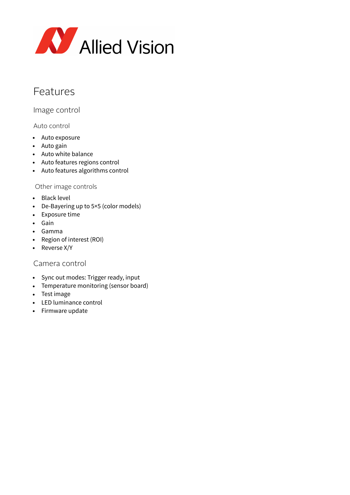

## Features

Image control

## Auto control

- Auto exposure
- Auto gain
- Auto white balance
- Auto features regions control
- Auto features algorithms control

#### Other image controls

- Black level
- De-Bayering up to 5×5 (color models)
- Exposure time
- Gain
- Gamma
- Region of interest (ROI)
- Reverse X/Y

## Camera control

- Sync out modes: Trigger ready, input
- Temperature monitoring (sensor board)
- Test image
- LED luminance control
- Firmware update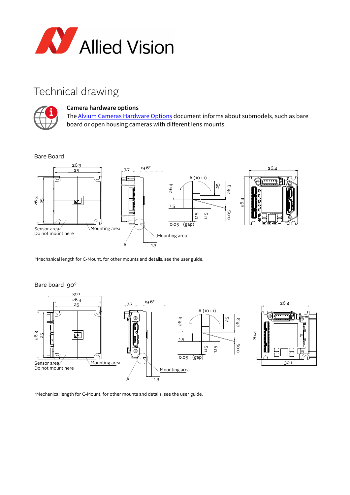

## Technical drawing



#### **Camera hardware options**

The **Alvium Cameras Hardware Options** document informs about submodels, such as bare board or open housing cameras with different lens mounts.

Bare Board



\*Mechanical length for C-Mount, for other mounts and details, see the user guide.



Bare board 90°

\*Mechanical length for C-Mount, for other mounts and details, see the user guide.